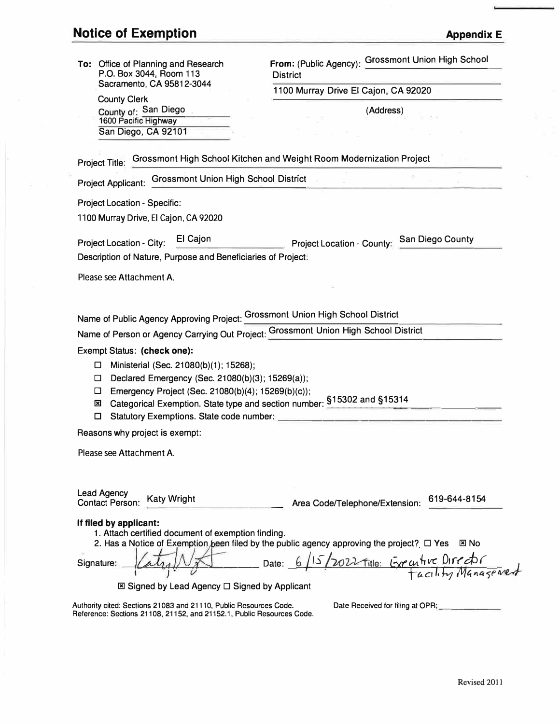| To: Office of Planning and Research                                                                                                                                                                                                                                                                                                                                              | From: (Public Agency): Grossmont Union High School                                                                                                                                        |
|----------------------------------------------------------------------------------------------------------------------------------------------------------------------------------------------------------------------------------------------------------------------------------------------------------------------------------------------------------------------------------|-------------------------------------------------------------------------------------------------------------------------------------------------------------------------------------------|
| P.O. Box 3044, Room 113                                                                                                                                                                                                                                                                                                                                                          | <b>District</b>                                                                                                                                                                           |
| Sacramento, CA 95812-3044                                                                                                                                                                                                                                                                                                                                                        | 1100 Murray Drive El Cajon, CA 92020                                                                                                                                                      |
| <b>County Clerk</b><br>County of: San Diego                                                                                                                                                                                                                                                                                                                                      | (Address)                                                                                                                                                                                 |
| 1600 Pacific Highway                                                                                                                                                                                                                                                                                                                                                             |                                                                                                                                                                                           |
| San Diego, CA 92101                                                                                                                                                                                                                                                                                                                                                              |                                                                                                                                                                                           |
| Project Title: Grossmont High School Kitchen and Weight Room Modernization Project                                                                                                                                                                                                                                                                                               |                                                                                                                                                                                           |
| Project Applicant: Grossmont Union High School District                                                                                                                                                                                                                                                                                                                          |                                                                                                                                                                                           |
| <b>Project Location - Specific:</b>                                                                                                                                                                                                                                                                                                                                              |                                                                                                                                                                                           |
| 1100 Murray Drive, El Cajon, CA 92020                                                                                                                                                                                                                                                                                                                                            |                                                                                                                                                                                           |
|                                                                                                                                                                                                                                                                                                                                                                                  |                                                                                                                                                                                           |
| El Cajon<br>Project Location - City:                                                                                                                                                                                                                                                                                                                                             | Project Location - County: San Diego County                                                                                                                                               |
| Description of Nature, Purpose and Beneficiaries of Project:                                                                                                                                                                                                                                                                                                                     |                                                                                                                                                                                           |
| Please see Attachment A.                                                                                                                                                                                                                                                                                                                                                         |                                                                                                                                                                                           |
|                                                                                                                                                                                                                                                                                                                                                                                  |                                                                                                                                                                                           |
| Name of Public Agency Approving Project: Grossmont Union High School District<br>Name of Person or Agency Carrying Out Project: Grossmont Union High School District<br>Exempt Status: (check one):<br>Ministerial (Sec. 21080(b)(1); 15268);<br>□<br>Declared Emergency (Sec. 21080(b)(3); 15269(a));<br>□<br>Emergency Project (Sec. 21080(b)(4); 15269(b)(c));<br>□<br>⊠<br>□ | Categorical Exemption. State type and section number: §15302 and §15314                                                                                                                   |
| Reasons why project is exempt:                                                                                                                                                                                                                                                                                                                                                   |                                                                                                                                                                                           |
| Please see Attachment A.                                                                                                                                                                                                                                                                                                                                                         |                                                                                                                                                                                           |
|                                                                                                                                                                                                                                                                                                                                                                                  |                                                                                                                                                                                           |
| <b>Lead Agency</b><br><b>Katy Wright</b><br><b>Contact Person:</b>                                                                                                                                                                                                                                                                                                               | 619-644-8154<br>Area Code/Telephone/Extension:                                                                                                                                            |
| If filed by applicant:<br>1. Attach certified document of exemption finding.<br>Signature:<br>$\boxtimes$ Signed by Lead Agency $\square$ Signed by Applicant<br>Authority cited: Sections 21083 and 21110, Public Resources Code.                                                                                                                                               | 2. Has a Notice of Exemption been filed by the public agency approving the project? $\square$ Yes<br>図 No<br>Date: 6/15/2022 fitle: Executive DIFEEDE<br>Date Received for filing at OPR: |
| Reference: Sections 21108, 21152, and 21152.1, Public Resources Code.                                                                                                                                                                                                                                                                                                            |                                                                                                                                                                                           |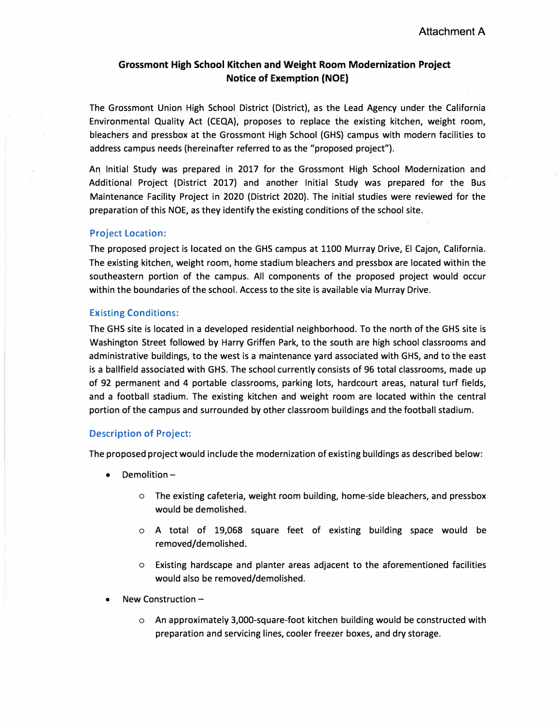# **Grossmont High School Kitchen and Weight Room Modernization Project Notice of Exemption (NOE)**

The Grossmont Union High School District (District), as the Lead Agency under the California Environmental Quality Act (CEQA), proposes to replace the existing kitchen, weight room, bleachers and pressbox at the Grossmont High School (GHS) campus with modern facilities to address campus needs (hereinafter referred to as the "proposed project").

An Initial Study was prepared in 2017 for the Grossmont High School Modernization and Additional Project (District 2017) and another Initial Study was prepared for the Bus Maintenance Facility Project in 2020 (District 2020). The initial studies were reviewed for the preparation of this NOE, as they identify the existing conditions of the school site.

# Project Location:

The proposed project is located on the GHS campus at 1100 Murray Drive, El Cajon, California. The existing kitchen, weight room, home stadium bleachers and pressbox are located within the southeastern portion of the campus. All components of the proposed project would occur within the boundaries of the school. Access to the site is available via Murray Drive.

## Existing Conditions:

The GHS site is located in a developed residential neighborhood. To the north of the GHS site is Washington Street followed by Harry Griffen Park, to the south are high school classrooms and administrative buildings, to the west is a maintenance yard associated with GHS, and to the east is a ballfield associated with GHS. The school currently consists of 96 total classrooms, made up of 92 permanent and 4 portable classrooms, parking lots, hardcourt areas, natural turf fields, and a football stadium. The existing kitchen and weight room are located within the central portion of the campus and surrounded by other classroom buildings and the football stadium.

## Description of Project:

The proposed project would include the modernization of existing buildings as described below:

- Demolition
	- o The existing cafeteria, weight room building, home-side bleachers, and pressbox would be demolished.
	- o A total of 19,068 square feet of existing building space would be removed/demolished.
	- o Existing hardscape and planter areas adjacent to the aforementioned facilities would also be removed/demolished.
- New Construction  $$ 
	- o An approximately 3,000-square-foot kitchen building would be constructed with preparation and servicing lines, cooler freezer boxes, and dry storage.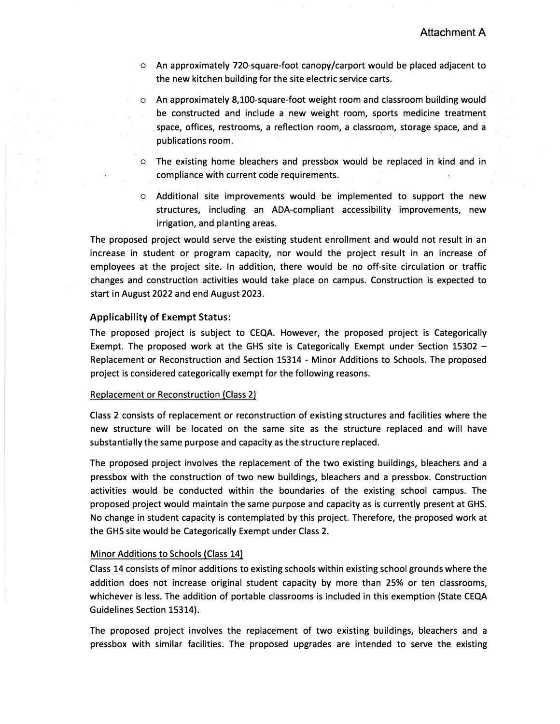- o An approximately 720-square-foot canopy/carport would be placed adjacent to the new kitchen building for the site electric service carts.
- o An approximately 8,100-square-foot weight room and classroom building would be constructed and include a new weight room, sports medicine treatment space, offices, restrooms, a reflection room, a classroom, storage space, and a publications room.
- o The existing home bleachers and pressbox would be replaced in kind and in compliance with current code requirements.
- o Additional site improvements would be implemented to support the new structures, including an ADA-compliant accessibility improvements, new irrigation, and planting areas.

The proposed project would serve the existing student enrollment and would not result in an increase in student or program capacity, nor would the project result in an increase of employees at the project site. In addition, there would be no off-site circulation or traffic changes and construction activities would take place on campus. Construction is expected to start in August 2022 and end August 2023.

## **Applicability** of **Exempt Status:**

The proposed project is subject to CEQA. However, the proposed project is Categorically Exempt. The proposed work at the GHS site is Categorically Exempt under Section 15302 -Replacement or Reconstruction and Section 15314 - Minor Additions to Schools. The proposed project is considered categorically exempt for the following reasons.

# Replacement or Reconstruction (Class 2)

Class 2 consists of replacement or reconstruction of existing structures and facilities where the new structure will be located on the same site as the structure replaced and will have substantially the same purpose and capacity as the structure replaced.

The proposed project involves the replacement of the two existing buildings, bleachers and a pressbox with the construction of two new buildings, bleachers and a pressbox. Construction activities would be conducted within the boundaries of the existing school campus. The proposed project would maintain the same purpose and capacity as is currently present at GHS. No change in student capacity is contemplated by this project. Therefore, the proposed work at the GHS site would be Categorically Exempt under Class 2.

# Minor Additions to Schools (Class 14)

Class 14 consists of minor additions to existing schools within existing school grounds where the addition does not increase original student capacity by more than 25% or ten classrooms, whichever is less. The addition of portable classrooms is included in this exemption (State CEQA Guidelines Section 15314).

The proposed project involves the replacement of two existing buildings, bleachers and a pressbox with similar facilities. The proposed upgrades are intended to serve the existing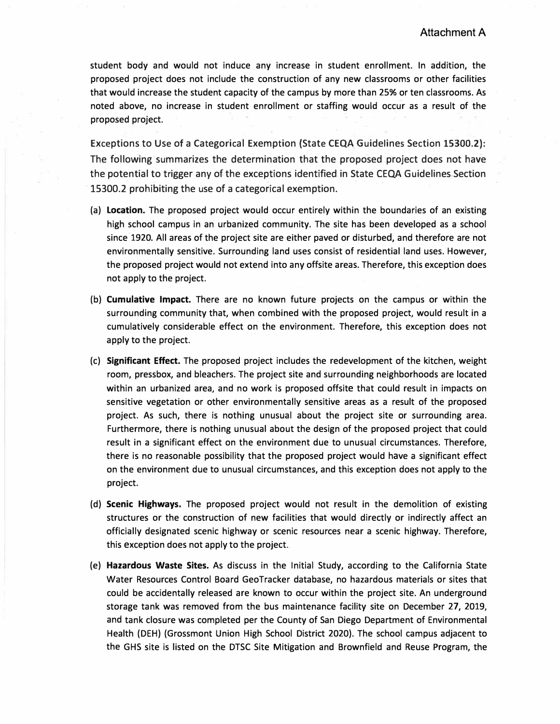student body and would not induce any increase in student enrollment. In addition, the proposed project does not include the construction of any new classrooms or other facilities that would increase the student capacity of the campus by more than 25% or ten classrooms. As noted above, no increase in student enrollment or staffing would occur as a result of the proposed project.

Exceptions to Use of a Categorical Exemption {State CEQA Guidelines Section 15300.2): The following summarizes the determination that the proposed project does not have the potential to trigger any of the exceptions identified in State CEQA Guidelines Section 15300.2 prohibiting the use of a categorical exemption.

- (a) **Location.** The proposed project would occur entirely within the boundaries of an existing high school campus in an urbanized community. The site has been developed as a school since 1920. All areas of the project site are either paved or disturbed, and therefore are not environmentally sensitive. Surrounding land uses consist of residential land uses. However, the proposed project would not extend into any offsite areas. Therefore, this exception does not apply to the project.
- (b) **Cumulative Impact.** There are no known future projects on the campus or within the surrounding community that, when combined with the proposed project, would result in a cumulatively considerable effect on the environment. Therefore, this exception does not apply to the project.
- (c) **Significant Effect.** The proposed project includes the redevelopment of the kitchen, weight room, pressbox, and bleachers. The project site and surrounding neighborhoods are located within an urbanized area, and no work is proposed offsite that could result in impacts on sensitive vegetation or other environmentally sensitive areas as a result of the proposed project. As such, there is nothing unusual about the project site or surrounding area. Furthermore, there is nothing unusual about the design of the proposed project that could result in a significant effect on the environment due to unusual circumstances. Therefore, there is no reasonable possibility that the proposed project would have a significant effect on the environment due to unusual circumstances, and this exception does not apply to the project.
- (d) **Scenic Highways.** The proposed project would not result in the demolition of existing structures or the construction of new facilities that would directly or indirectly affect an officially designated scenic highway or scenic resources near a scenic highway. Therefore, this exception does not apply to the project.
- (e) **Hazardous Waste Sites.** As discuss in the Initial Study, according to the California State Water Resources Control Board GeoTracker database, no hazardous materials or sites that could be accidentally released are known to occur within the project site. An underground storage tank was removed from the bus maintenance facility site on December 27, 2019, and tank closure was completed per the County of San Diego Department of Environmental Health (DEH) (Grossmont Union High School District 2020). The school campus adjacent to the GHS site is listed on the DTSC Site Mitigation and Brownfield and Reuse Program, the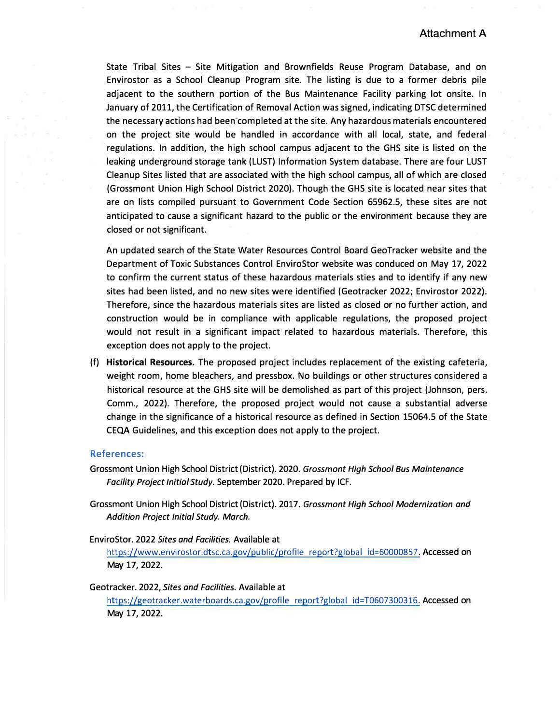**State Tribal Sites - Site Mitigation and Brownfields Reuse Program Database, and on Envirostor as a School Cleanup Program site. The listing is due to a former debris pile adjacent to the southern portion of the Bus Maintenance Facility parking lot onsite. In January of 2011, the Certification of Removal Action was signed, indicating DTSC determined the necessary actions had been completed at the site. Any hazardous materials encountered on the project site would be handled in accordance with all local, state, and federal regulations. In addition, the high school campus adjacent to the GHS site is listed on the leaking underground storage tank (LUST) Information System database. There are four LUST Cleanup Sites listed that are associated with the high school campus, all of which are closed (Grossmont Union High School District 2020). Though the GHS site is located near sites that are on lists compiled pursuant to Government Code Section 65962.5, these sites are not anticipated to cause a significant hazard to the public or the environment because they are closed or not significant.** 

An updated search of the State Water Resources Control Board GeoTracker website and the **Department of Toxic Substances Control EnviroStor website was conduced on May 17, 2022 to confirm the current status of these hazardous materials sties and to identify if any new sites had been listed, and no new sites were identified (Geotracker 2022; Envirostor 2022). Therefore, since the hazardous materials sites are listed as closed or no further action, and construction would be in compliance with applicable regulations, the proposed project would not result in a significant impact related to hazardous materials. Therefore, this exception does not apply to the project.** 

**(f) Historical Resources. The proposed project includes replacement of the existing cafeteria, weight room, home bleachers, and pressbox. No buildings or other structures considered a historical resource at the GHS site will be demolished as part of this project (Johnson, pers. Comm., 2022). Therefore, the proposed project would not cause a substantial adverse change in the significance of a historical resource as defined in Section 15064.5 of the State CEQA Guidelines, and this exception does not apply to the project.** 

#### **References:**

- **Grossmont Union High School District (District). 2020.** *Grossmont High School Bus Maintenance Facility Project Initial Study.* **September 2020. Prepared by ICF.**
- **Grossmont Union High School District (District). 2017.** *Grossmont High School Modernization and Addition Project Initial Study. March.*

#### **EnviroStor. 2022** *Sites and Facilities.* **Available at**

**https://www.envirostor.dtsc.ca.gov/public/profile report?global id=60000857. Accessed on May 17, 2022.** 

# **Geotracker. 2022,** *Sites and Facilities.* **Available at**

**https://geotracker.waterboards.ca.gov/profile report?global id=T0607300316. Accessed on May 17, 2022.**